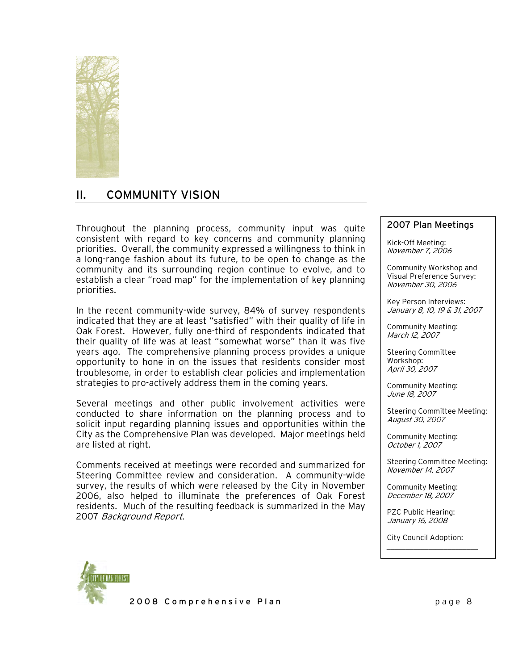

# II. COMMUNITY VISION

Throughout the planning process, community input was quite  $\parallel$  2007 Plan Meetings consistent with regard to key concerns and community planning priorities. Overall, the community expressed a willingness to think in a long-range fashion about its future, to be open to change as the community and its surrounding region continue to evolve, and to establish a clear "road map" for the implementation of key planning priorities.

In the recent community-wide survey, 84% of survey respondents indicated that they are at least "satisfied" with their quality of life in Oak Forest. However, fully one-third of respondents indicated that their quality of life was at least "somewhat worse" than it was five years ago. The comprehensive planning process provides a unique opportunity to hone in on the issues that residents consider most troublesome, in order to establish clear policies and implementation strategies to pro-actively address them in the coming years.

Several meetings and other public involvement activities were conducted to share information on the planning process and to solicit input regarding planning issues and opportunities within the City as the Comprehensive Plan was developed. Major meetings held are listed at right.

Comments received at meetings were recorded and summarized for Steering Committee review and consideration. A community-wide survey, the results of which were released by the City in November 2006, also helped to illuminate the preferences of Oak Forest residents. Much of the resulting feedback is summarized in the May 2007 Background Report.

Kick-Off Meeting: November 7, 2006

Community Workshop and Visual Preference Survey: November 30, 2006

Key Person Interviews: January 8, 10, 19 & 31, 2007

Community Meeting: March 12, 2007

Steering Committee Workshop: April 30, 2007

Community Meeting: June 18, 2007

Steering Committee Meeting: August 30, 2007

Community Meeting: October 1, 2007

Steering Committee Meeting: November 14, 2007

Community Meeting: December 18, 2007

PZC Public Hearing: January 16, 2008

City Council Adoption:

\_\_\_\_\_\_\_\_\_\_\_\_\_\_\_\_\_\_\_\_\_\_\_\_



2008 Comprehensive Plan page 8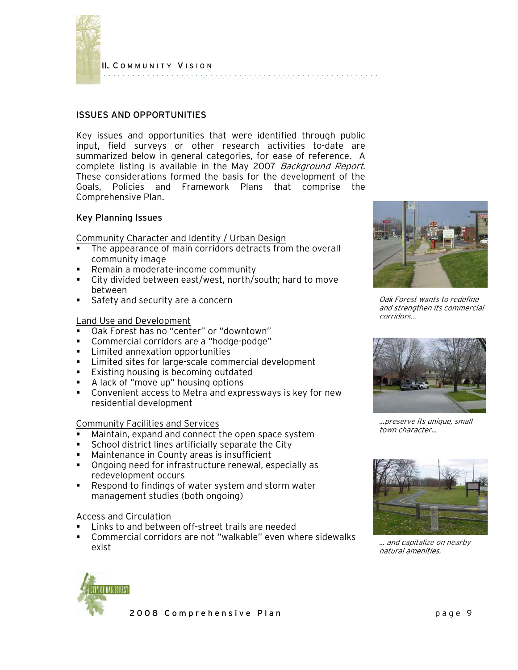

II. C OMMUNITY V ISION 

# ISSUES AND OPPORTUNITIES

Key issues and opportunities that were identified through public input, field surveys or other research activities to-date are summarized below in general categories, for ease of reference. A complete listing is available in the May 2007 Background Report. These considerations formed the basis for the development of the Goals, Policies and Framework Plans that comprise the Comprehensive Plan.

#### Key Planning Issues

Community Character and Identity / Urban Design

- The appearance of main corridors detracts from the overall community image
- **Remain a moderate-income community**
- City divided between east/west, north/south; hard to move between
- Safety and security are a concern

#### Land Use and Development

- Oak Forest has no "center" or "downtown"
- Commercial corridors are a "hodge-podge"
- **EXECUTE:** Limited annexation opportunities
- **EXEC** Limited sites for large-scale commercial development
- **Existing housing is becoming outdated**
- A lack of "move up" housing options
- Convenient access to Metra and expressways is key for new residential development

#### Community Facilities and Services

- Maintain, expand and connect the open space system
- School district lines artificially separate the City
- Maintenance in County areas is insufficient
- Ongoing need for infrastructure renewal, especially as redevelopment occurs
- Respond to findings of water system and storm water management studies (both ongoing)

# Access and Circulation

- Links to and between off-street trails are needed
- Commercial corridors are not "walkable" even where sidewalks exist



Oak Forest wants to redefine and strengthen its commercial corridors…



…preserve its unique, small town character…



… and capitalize on nearby natural amenities.

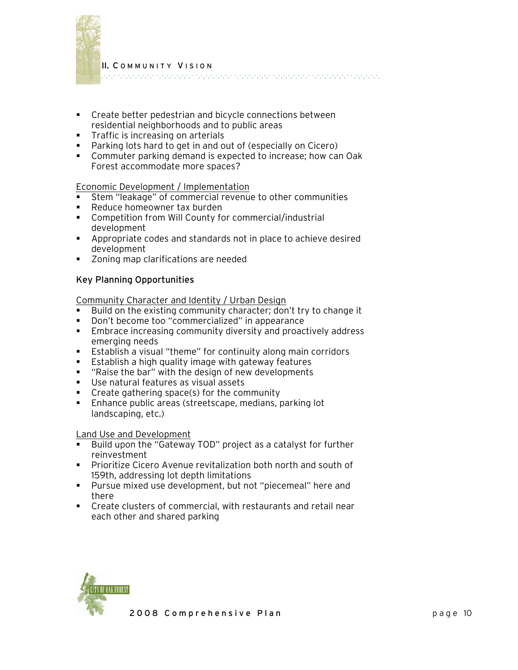

II. C OMMUNITY V ISION 

- Create better pedestrian and bicycle connections between residential neighborhoods and to public areas
- **Traffic is increasing on arterials**
- Parking lots hard to get in and out of (especially on Cicero)
- Commuter parking demand is expected to increase; how can Oak Forest accommodate more spaces?

#### Economic Development / Implementation

- Stem "leakage" of commercial revenue to other communities
- **Reduce homeowner tax burden**
- Competition from Will County for commercial/industrial development
- Appropriate codes and standards not in place to achieve desired development
- **EXECONICE 2018** Zoning map clarifications are needed

# Key Planning Opportunities

Community Character and Identity / Urban Design

- Build on the existing community character; don't try to change it
- **Don't become too "commercialized" in appearance**
- **Embrace increasing community diversity and proactively address** emerging needs
- Establish a visual "theme" for continuity along main corridors
- **Establish a high quality image with gateway features**
- " "Raise the bar" with the design of new developments
- Use natural features as visual assets
- Create gathering space(s) for the community
- **Enhance public areas (streetscape, medians, parking lot** landscaping, etc.)

#### Land Use and Development

- Build upon the "Gateway TOD" project as a catalyst for further reinvestment
- **Prioritize Cicero Avenue revitalization both north and south of** 159th, addressing lot depth limitations
- Pursue mixed use development, but not "piecemeal" here and there
- Create clusters of commercial, with restaurants and retail near each other and shared parking

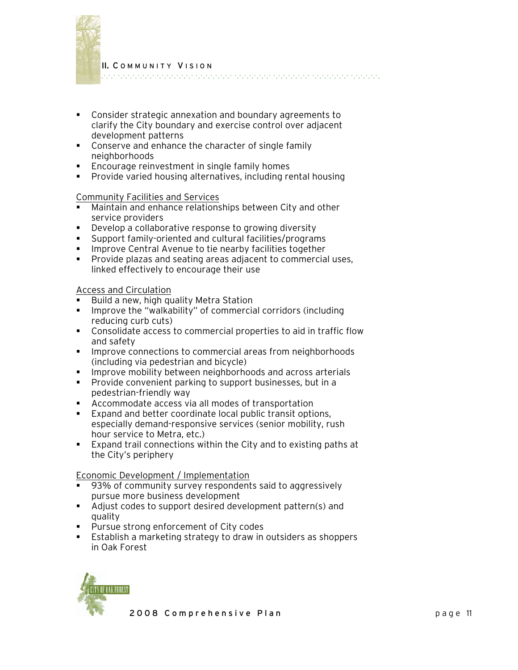

II. C OMMUNITY V ISION 

- Consider strategic annexation and boundary agreements to clarify the City boundary and exercise control over adjacent development patterns
- **Conserve and enhance the character of single family** neighborhoods
- **Encourage reinvestment in single family homes**
- **Provide varied housing alternatives, including rental housing**

# Community Facilities and Services

- Maintain and enhance relationships between City and other service providers
- Develop a collaborative response to growing diversity
- Support family-oriented and cultural facilities/programs
- **IMPROVE Central Avenue to tie nearby facilities together**
- **Provide plazas and seating areas adjacent to commercial uses,** linked effectively to encourage their use

# Access and Circulation

- Build a new, high quality Metra Station
- **IMPROVE THE "WALKADILITY" of commercial corridors (including** reducing curb cuts)
- Consolidate access to commercial properties to aid in traffic flow and safety
- **IMPROVE CONNECTIONS TO COMMETCIAL AREAS FROM DEGITION INCOCOLS** (including via pedestrian and bicycle)
- **IMPROVE MOBILITY between neighborhoods and across arterials**
- **Provide convenient parking to support businesses, but in a** pedestrian-friendly way
- Accommodate access via all modes of transportation
- **Expand and better coordinate local public transit options,** especially demand-responsive services (senior mobility, rush hour service to Metra, etc.)
- Expand trail connections within the City and to existing paths at the City's periphery

Economic Development / Implementation

- 93% of community survey respondents said to aggressively pursue more business development
- Adjust codes to support desired development pattern(s) and quality
- **Pursue strong enforcement of City codes**
- Establish a marketing strategy to draw in outsiders as shoppers in Oak Forest